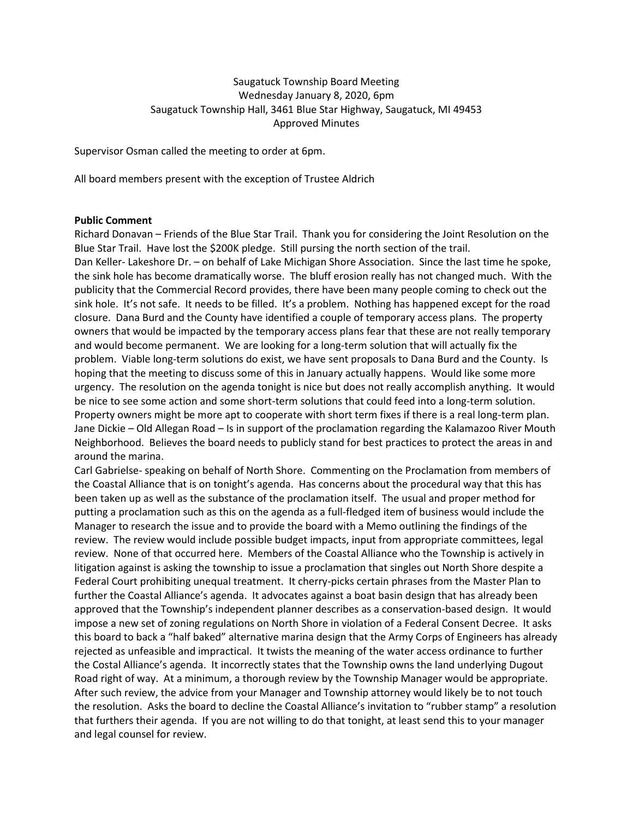# Saugatuck Township Board Meeting Wednesday January 8, 2020, 6pm Saugatuck Township Hall, 3461 Blue Star Highway, Saugatuck, MI 49453 Approved Minutes

Supervisor Osman called the meeting to order at 6pm.

All board members present with the exception of Trustee Aldrich

#### **Public Comment**

Richard Donavan – Friends of the Blue Star Trail. Thank you for considering the Joint Resolution on the Blue Star Trail. Have lost the \$200K pledge. Still pursing the north section of the trail.

Dan Keller- Lakeshore Dr. – on behalf of Lake Michigan Shore Association. Since the last time he spoke, the sink hole has become dramatically worse. The bluff erosion really has not changed much. With the publicity that the Commercial Record provides, there have been many people coming to check out the sink hole. It's not safe. It needs to be filled. It's a problem. Nothing has happened except for the road closure. Dana Burd and the County have identified a couple of temporary access plans. The property owners that would be impacted by the temporary access plans fear that these are not really temporary and would become permanent. We are looking for a long-term solution that will actually fix the problem. Viable long-term solutions do exist, we have sent proposals to Dana Burd and the County. Is hoping that the meeting to discuss some of this in January actually happens. Would like some more urgency. The resolution on the agenda tonight is nice but does not really accomplish anything. It would be nice to see some action and some short-term solutions that could feed into a long-term solution. Property owners might be more apt to cooperate with short term fixes if there is a real long-term plan. Jane Dickie – Old Allegan Road – Is in support of the proclamation regarding the Kalamazoo River Mouth Neighborhood. Believes the board needs to publicly stand for best practices to protect the areas in and around the marina.

Carl Gabrielse- speaking on behalf of North Shore. Commenting on the Proclamation from members of the Coastal Alliance that is on tonight's agenda. Has concerns about the procedural way that this has been taken up as well as the substance of the proclamation itself. The usual and proper method for putting a proclamation such as this on the agenda as a full-fledged item of business would include the Manager to research the issue and to provide the board with a Memo outlining the findings of the review. The review would include possible budget impacts, input from appropriate committees, legal review. None of that occurred here. Members of the Coastal Alliance who the Township is actively in litigation against is asking the township to issue a proclamation that singles out North Shore despite a Federal Court prohibiting unequal treatment. It cherry-picks certain phrases from the Master Plan to further the Coastal Alliance's agenda. It advocates against a boat basin design that has already been approved that the Township's independent planner describes as a conservation-based design. It would impose a new set of zoning regulations on North Shore in violation of a Federal Consent Decree. It asks this board to back a "half baked" alternative marina design that the Army Corps of Engineers has already rejected as unfeasible and impractical. It twists the meaning of the water access ordinance to further the Costal Alliance's agenda. It incorrectly states that the Township owns the land underlying Dugout Road right of way. At a minimum, a thorough review by the Township Manager would be appropriate. After such review, the advice from your Manager and Township attorney would likely be to not touch the resolution. Asks the board to decline the Coastal Alliance's invitation to "rubber stamp" a resolution that furthers their agenda. If you are not willing to do that tonight, at least send this to your manager and legal counsel for review.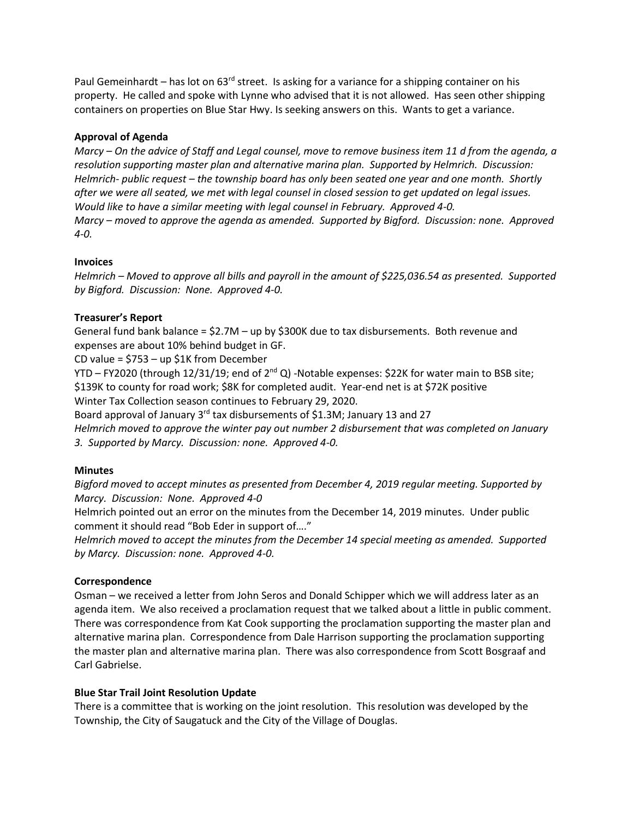Paul Gemeinhardt – has lot on  $63<sup>rd</sup>$  street. Is asking for a variance for a shipping container on his property. He called and spoke with Lynne who advised that it is not allowed. Has seen other shipping containers on properties on Blue Star Hwy. Is seeking answers on this. Wants to get a variance.

## **Approval of Agenda**

*Marcy – On the advice of Staff and Legal counsel, move to remove business item 11 d from the agenda, a resolution supporting master plan and alternative marina plan. Supported by Helmrich. Discussion: Helmrich- public request – the township board has only been seated one year and one month. Shortly after we were all seated, we met with legal counsel in closed session to get updated on legal issues. Would like to have a similar meeting with legal counsel in February. Approved 4-0. Marcy – moved to approve the agenda as amended. Supported by Bigford. Discussion: none. Approved 4-0.*

## **Invoices**

*Helmrich – Moved to approve all bills and payroll in the amount of \$225,036.54 as presented. Supported by Bigford. Discussion: None. Approved 4-0.* 

## **Treasurer's Report**

General fund bank balance =  $$2.7M$  – up by  $$300K$  due to tax disbursements. Both revenue and expenses are about 10% behind budget in GF.

CD value = \$753 – up \$1K from December

YTD – FY2020 (through 12/31/19; end of  $2^{nd} Q$ ) -Notable expenses: \$22K for water main to BSB site; \$139K to county for road work; \$8K for completed audit. Year-end net is at \$72K positive Winter Tax Collection season continues to February 29, 2020.

Board approval of January 3rd tax disbursements of \$1.3M; January 13 and 27

*Helmrich moved to approve the winter pay out number 2 disbursement that was completed on January 3. Supported by Marcy. Discussion: none. Approved 4-0.*

## **Minutes**

*Bigford moved to accept minutes as presented from December 4, 2019 regular meeting. Supported by Marcy. Discussion: None. Approved 4-0*

Helmrich pointed out an error on the minutes from the December 14, 2019 minutes. Under public comment it should read "Bob Eder in support of…."

*Helmrich moved to accept the minutes from the December 14 special meeting as amended. Supported by Marcy. Discussion: none. Approved 4-0.*

## **Correspondence**

Osman – we received a letter from John Seros and Donald Schipper which we will address later as an agenda item. We also received a proclamation request that we talked about a little in public comment. There was correspondence from Kat Cook supporting the proclamation supporting the master plan and alternative marina plan. Correspondence from Dale Harrison supporting the proclamation supporting the master plan and alternative marina plan. There was also correspondence from Scott Bosgraaf and Carl Gabrielse.

## **Blue Star Trail Joint Resolution Update**

There is a committee that is working on the joint resolution. This resolution was developed by the Township, the City of Saugatuck and the City of the Village of Douglas.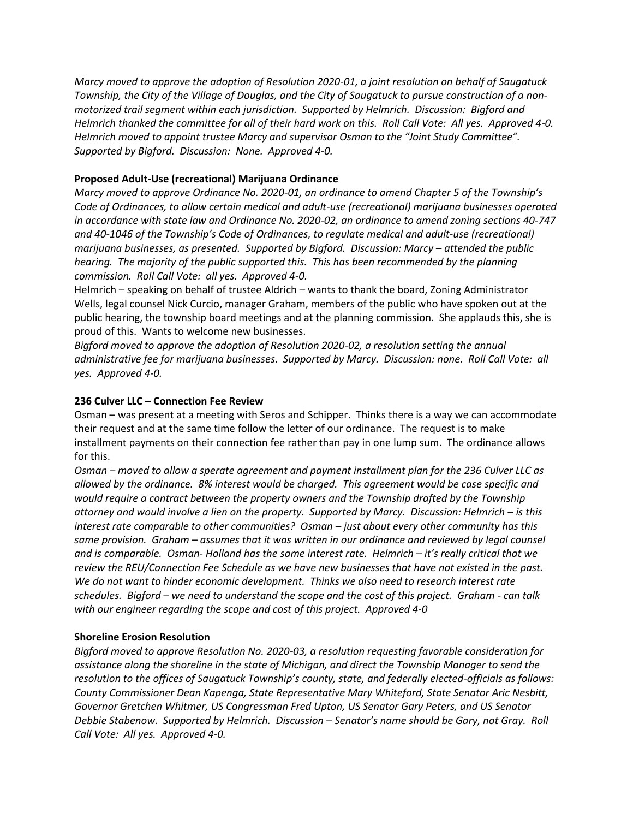*Marcy moved to approve the adoption of Resolution 2020-01, a joint resolution on behalf of Saugatuck Township, the City of the Village of Douglas, and the City of Saugatuck to pursue construction of a nonmotorized trail segment within each jurisdiction. Supported by Helmrich. Discussion: Bigford and Helmrich thanked the committee for all of their hard work on this. Roll Call Vote: All yes. Approved 4-0. Helmrich moved to appoint trustee Marcy and supervisor Osman to the "Joint Study Committee". Supported by Bigford. Discussion: None. Approved 4-0.*

# **Proposed Adult-Use (recreational) Marijuana Ordinance**

*Marcy moved to approve Ordinance No. 2020-01, an ordinance to amend Chapter 5 of the Township's Code of Ordinances, to allow certain medical and adult-use (recreational) marijuana businesses operated in accordance with state law and Ordinance No. 2020-02, an ordinance to amend zoning sections 40-747 and 40-1046 of the Township's Code of Ordinances, to regulate medical and adult-use (recreational) marijuana businesses, as presented. Supported by Bigford. Discussion: Marcy – attended the public hearing. The majority of the public supported this. This has been recommended by the planning commission. Roll Call Vote: all yes. Approved 4-0.* 

Helmrich – speaking on behalf of trustee Aldrich – wants to thank the board, Zoning Administrator Wells, legal counsel Nick Curcio, manager Graham, members of the public who have spoken out at the public hearing, the township board meetings and at the planning commission. She applauds this, she is proud of this. Wants to welcome new businesses.

*Bigford moved to approve the adoption of Resolution 2020-02, a resolution setting the annual administrative fee for marijuana businesses. Supported by Marcy. Discussion: none. Roll Call Vote: all yes. Approved 4-0.* 

#### **236 Culver LLC – Connection Fee Review**

Osman – was present at a meeting with Seros and Schipper. Thinks there is a way we can accommodate their request and at the same time follow the letter of our ordinance. The request is to make installment payments on their connection fee rather than pay in one lump sum. The ordinance allows for this.

*Osman – moved to allow a sperate agreement and payment installment plan for the 236 Culver LLC as allowed by the ordinance. 8% interest would be charged. This agreement would be case specific and would require a contract between the property owners and the Township drafted by the Township attorney and would involve a lien on the property. Supported by Marcy. Discussion: Helmrich – is this interest rate comparable to other communities? Osman – just about every other community has this same provision. Graham – assumes that it was written in our ordinance and reviewed by legal counsel and is comparable. Osman- Holland has the same interest rate. Helmrich – it's really critical that we review the REU/Connection Fee Schedule as we have new businesses that have not existed in the past. We do not want to hinder economic development. Thinks we also need to research interest rate schedules. Bigford – we need to understand the scope and the cost of this project. Graham - can talk with our engineer regarding the scope and cost of this project. Approved 4-0*

## **Shoreline Erosion Resolution**

*Bigford moved to approve Resolution No. 2020-03, a resolution requesting favorable consideration for assistance along the shoreline in the state of Michigan, and direct the Township Manager to send the resolution to the offices of Saugatuck Township's county, state, and federally elected-officials as follows: County Commissioner Dean Kapenga, State Representative Mary Whiteford, State Senator Aric Nesbitt, Governor Gretchen Whitmer, US Congressman Fred Upton, US Senator Gary Peters, and US Senator Debbie Stabenow. Supported by Helmrich. Discussion – Senator's name should be Gary, not Gray. Roll Call Vote: All yes. Approved 4-0.*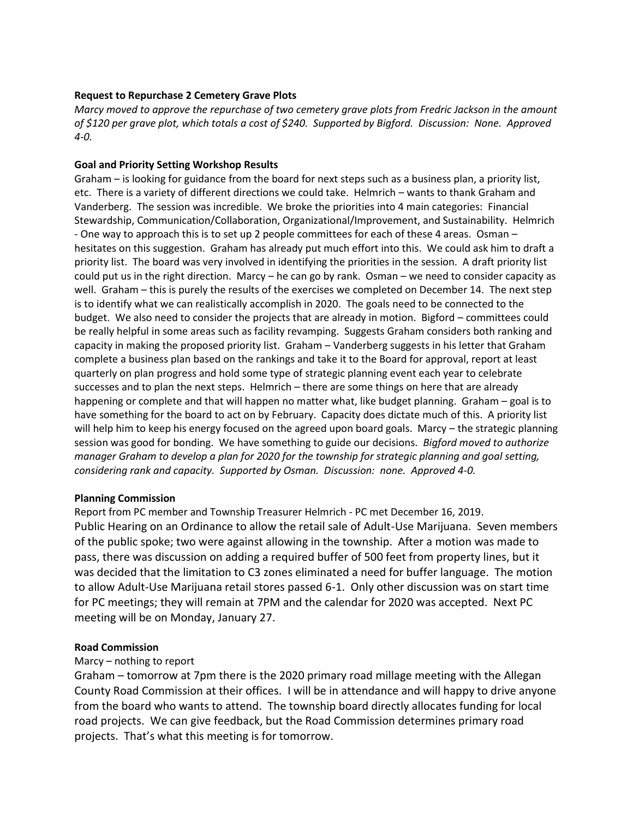### **Request to Repurchase 2 Cemetery Grave Plots**

*Marcy moved to approve the repurchase of two cemetery grave plots from Fredric Jackson in the amount of \$120 per grave plot, which totals a cost of \$240. Supported by Bigford. Discussion: None. Approved 4-0.* 

### **Goal and Priority Setting Workshop Results**

Graham – is looking for guidance from the board for next steps such as a business plan, a priority list, etc. There is a variety of different directions we could take. Helmrich – wants to thank Graham and Vanderberg. The session was incredible. We broke the priorities into 4 main categories: Financial Stewardship, Communication/Collaboration, Organizational/Improvement, and Sustainability. Helmrich - One way to approach this is to set up 2 people committees for each of these 4 areas. Osman – hesitates on this suggestion. Graham has already put much effort into this. We could ask him to draft a priority list. The board was very involved in identifying the priorities in the session. A draft priority list could put us in the right direction. Marcy – he can go by rank. Osman – we need to consider capacity as well. Graham – this is purely the results of the exercises we completed on December 14. The next step is to identify what we can realistically accomplish in 2020. The goals need to be connected to the budget. We also need to consider the projects that are already in motion. Bigford – committees could be really helpful in some areas such as facility revamping. Suggests Graham considers both ranking and capacity in making the proposed priority list. Graham – Vanderberg suggests in his letter that Graham complete a business plan based on the rankings and take it to the Board for approval, report at least quarterly on plan progress and hold some type of strategic planning event each year to celebrate successes and to plan the next steps. Helmrich – there are some things on here that are already happening or complete and that will happen no matter what, like budget planning. Graham – goal is to have something for the board to act on by February. Capacity does dictate much of this. A priority list will help him to keep his energy focused on the agreed upon board goals. Marcy – the strategic planning session was good for bonding. We have something to guide our decisions. *Bigford moved to authorize manager Graham to develop a plan for 2020 for the township for strategic planning and goal setting, considering rank and capacity. Supported by Osman. Discussion: none. Approved 4-0.* 

#### **Planning Commission**

Report from PC member and Township Treasurer Helmrich - PC met December 16, 2019. Public Hearing on an Ordinance to allow the retail sale of Adult-Use Marijuana. Seven members of the public spoke; two were against allowing in the township. After a motion was made to pass, there was discussion on adding a required buffer of 500 feet from property lines, but it was decided that the limitation to C3 zones eliminated a need for buffer language. The motion to allow Adult-Use Marijuana retail stores passed 6-1. Only other discussion was on start time for PC meetings; they will remain at 7PM and the calendar for 2020 was accepted. Next PC meeting will be on Monday, January 27.

## **Road Commission**

## Marcy – nothing to report

Graham – tomorrow at 7pm there is the 2020 primary road millage meeting with the Allegan County Road Commission at their offices. I will be in attendance and will happy to drive anyone from the board who wants to attend. The township board directly allocates funding for local road projects. We can give feedback, but the Road Commission determines primary road projects. That's what this meeting is for tomorrow.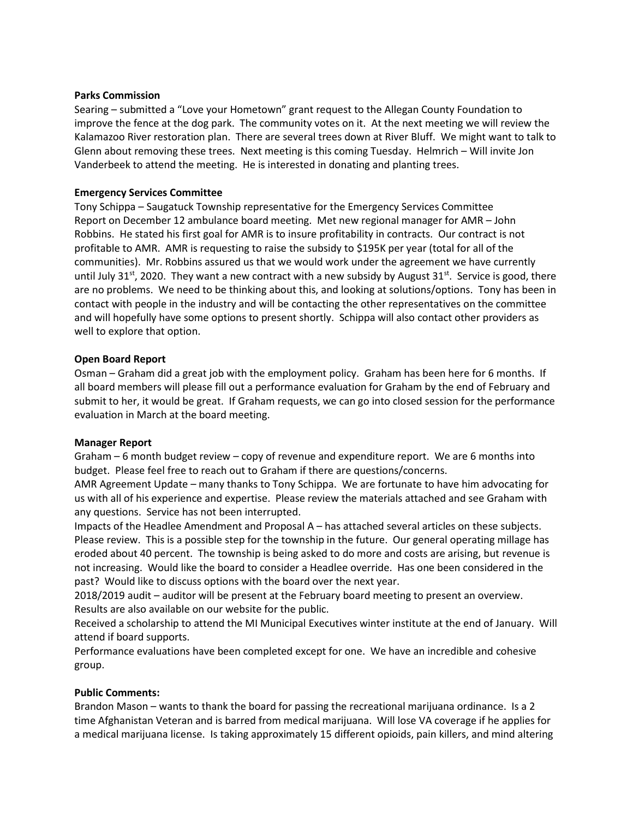#### **Parks Commission**

Searing – submitted a "Love your Hometown" grant request to the Allegan County Foundation to improve the fence at the dog park. The community votes on it. At the next meeting we will review the Kalamazoo River restoration plan. There are several trees down at River Bluff. We might want to talk to Glenn about removing these trees. Next meeting is this coming Tuesday. Helmrich – Will invite Jon Vanderbeek to attend the meeting. He is interested in donating and planting trees.

### **Emergency Services Committee**

Tony Schippa – Saugatuck Township representative for the Emergency Services Committee Report on December 12 ambulance board meeting. Met new regional manager for AMR – John Robbins. He stated his first goal for AMR is to insure profitability in contracts. Our contract is not profitable to AMR. AMR is requesting to raise the subsidy to \$195K per year (total for all of the communities). Mr. Robbins assured us that we would work under the agreement we have currently until July 31<sup>st</sup>, 2020. They want a new contract with a new subsidy by August 31<sup>st</sup>. Service is good, there are no problems. We need to be thinking about this, and looking at solutions/options. Tony has been in contact with people in the industry and will be contacting the other representatives on the committee and will hopefully have some options to present shortly. Schippa will also contact other providers as well to explore that option.

#### **Open Board Report**

Osman – Graham did a great job with the employment policy. Graham has been here for 6 months. If all board members will please fill out a performance evaluation for Graham by the end of February and submit to her, it would be great. If Graham requests, we can go into closed session for the performance evaluation in March at the board meeting.

## **Manager Report**

Graham – 6 month budget review – copy of revenue and expenditure report. We are 6 months into budget. Please feel free to reach out to Graham if there are questions/concerns.

AMR Agreement Update – many thanks to Tony Schippa. We are fortunate to have him advocating for us with all of his experience and expertise. Please review the materials attached and see Graham with any questions. Service has not been interrupted.

Impacts of the Headlee Amendment and Proposal A – has attached several articles on these subjects. Please review. This is a possible step for the township in the future. Our general operating millage has eroded about 40 percent. The township is being asked to do more and costs are arising, but revenue is not increasing. Would like the board to consider a Headlee override. Has one been considered in the past? Would like to discuss options with the board over the next year.

2018/2019 audit – auditor will be present at the February board meeting to present an overview. Results are also available on our website for the public.

Received a scholarship to attend the MI Municipal Executives winter institute at the end of January. Will attend if board supports.

Performance evaluations have been completed except for one. We have an incredible and cohesive group.

## **Public Comments:**

Brandon Mason – wants to thank the board for passing the recreational marijuana ordinance. Is a 2 time Afghanistan Veteran and is barred from medical marijuana. Will lose VA coverage if he applies for a medical marijuana license. Is taking approximately 15 different opioids, pain killers, and mind altering